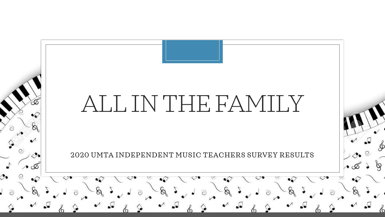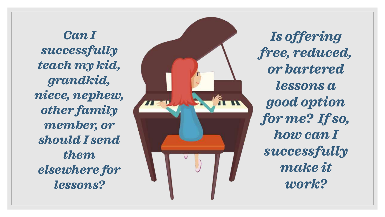*Can I successfully teach my kid, grandkid, niece, nephew, other family member, or should I send them elsewhere for lessons?*



*Is offering free, reduced, or bartered lessons a good option for me? If so, how can I successfully make it work?*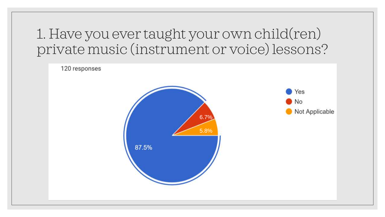## 1. Have you ever taught your own child(ren) private music (instrument or voice) lessons?

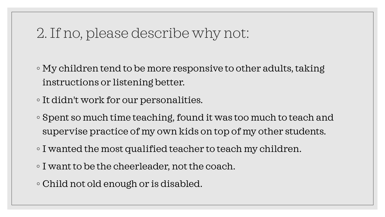## 2. If no, please describe why not:

◦ My children tend to be more responsive to other adults, taking instructions or listening better.

◦ It didn't work for our personalities.

- Spent so much time teaching, found it was too much to teach and supervise practice of my own kids on top of my other students.
- I wanted the most qualified teacher to teach my children.
- I want to be the cheerleader, not the coach.
- Child not old enough or is disabled.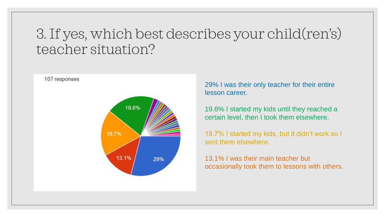## 3. If yes, which best describes your child(ren's) teacher situation?



29% I was their only teacher for their entire lesson career.

19.6% I started my kids until they reached a certain level, then I took them elsewhere.

18.7% I started my kids, but it didn't work so I sent them elsewhere.

13.1% I was their main teacher but occasionally took them to lessons with others.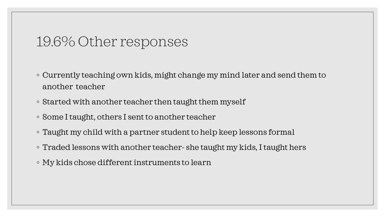### 19.6% Other responses

- Currently teaching own kids, might change my mind later and send them to another teacher
- Started with another teacher then taught them myself
- Some I taught, others I sent to another teacher
- Taught my child with a partner student to help keep lessons formal
- Traded lessons with another teacher- she taught my kids, I taught hers
- My kids chose different instruments to learn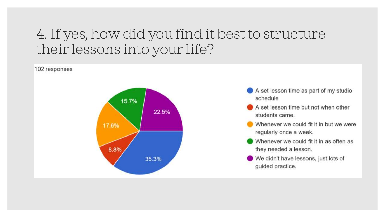## 4. If yes, how did you find it best to structure their lessons into your life?

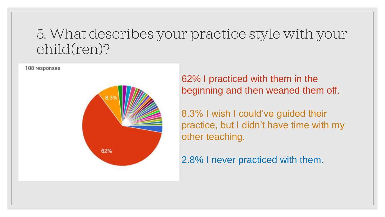## 5. What describes your practice style with your child(ren)?



62% I practiced with them in the beginning and then weaned them off.

8.3% I wish I could've guided their practice, but I didn't have time with my other teaching.

2.8% I never practiced with them.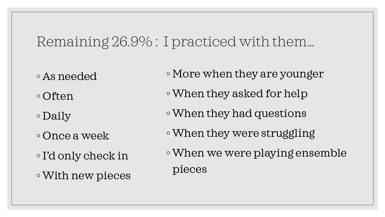### Remaining 26.9% : I practiced with them…

◦ As needed

◦ Often

◦ Daily

◦ Once a week

◦I'd only check in ◦With new pieces ◦ More when they are younger

◦When they asked for help

- ◦When they had questions
- ◦When they were struggling
- ◦When we were playing ensemble pieces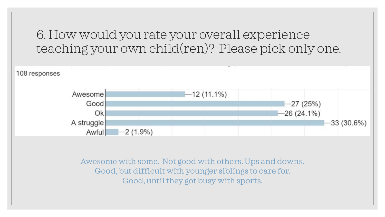6. How would you rate your overall experience teaching your own child(ren)? Please pick only one.

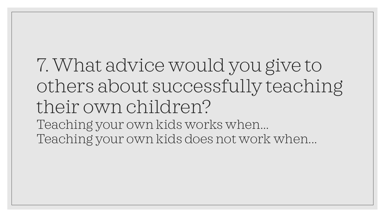7. What advice would you give to others about successfully teaching their own children? Teaching your own kids works when... Teaching your own kids does not work when...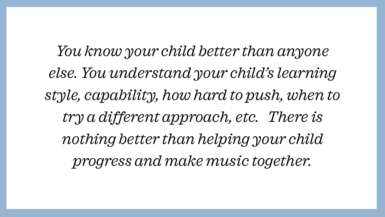*You know your child better than anyone else. You understand your child's learning style, capability, how hard to push, when to try a different approach, etc. There is nothing better than helping your child progress and make music together.*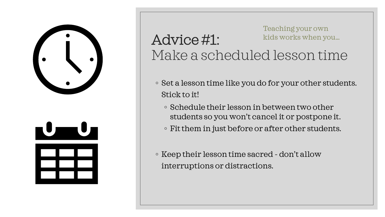

#### Advice #1: Make a scheduled lesson time Teaching your own kids works when you…

- Set a lesson time like you do for your other students. Stick to it!
	- Schedule their lesson in between two other students so you won't cancel it or postpone it.
	- Fit them in just before or after other students.

◦ Keep their lesson time sacred - don't allow interruptions or distractions.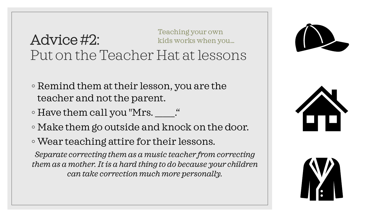#### Advice #2: Put on the Teacher Hat at lessons Teaching your own kids works when you…

- Remind them at their lesson, you are the teacher and not the parent.
- Have them call you "Mrs. \_\_."
- Make them go outside and knock on the door.
- Wear teaching attire for their lessons.

*Separate correcting them as a music teacher from correcting them as a mother. It is a hard thing to do because your children can take correction much more personally.*





![](_page_13_Picture_8.jpeg)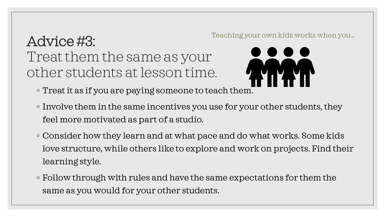#### Advice #3: Treat them the same as your other students at lesson time. Teaching your own kids works when you…

![](_page_14_Picture_1.jpeg)

- Treat it as if you are paying someone to teach them.
- Involve them in the same incentives you use for your other students, they feel more motivated as part of a studio.
- Consider how they learn and at what pace and do what works. Some kids love structure, while others like to explore and work on projects. Find their learning style.
- Follow through with rules and have the same expectations for them the same as you would for your other students.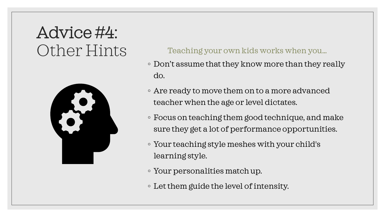# Advice #4: Other Hints

![](_page_15_Picture_1.jpeg)

#### Teaching your own kids works when you…

- Don't assume that they know more than they really do.
- Are ready to move them on to a more advanced teacher when the age or level dictates.
- Focus on teaching them good technique, and make sure they get a lot of performance opportunities.
- Your teaching style meshes with your child's learning style.
- Your personalities match up.
- Let them guide the level of intensity.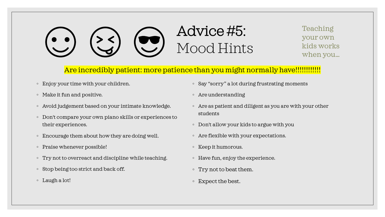# Advice #5: Mood Hints

Teaching your own kids works when you…

#### Are incredibly patient: more patience than you might normally have!!!!!!!!!!!!!!

- Enjoy your time with your children.
- Make it fun and positive.
- Avoid judgement based on your intimate knowledge.
- Don't compare your own piano skills or experiences to their experiences.
- Encourage them about how they are doing well.
- Praise whenever possible!
- Try not to overreact and discipline while teaching.
- Stop being too strict and back off.
- Laugh a lot!
- Say "sorry" a lot during frustrating moments
- Are understanding
- Are as patient and diligent as you are with your other students
- Don't allow your kids to argue with you
- Are flexible with your expectations.
- Keep it humorous.
- Have fun, enjoy the experience.
- Try not to beat them.
- Expect the best.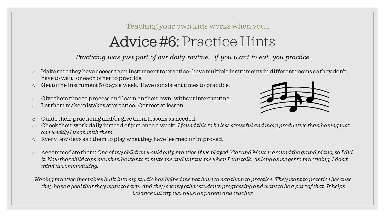#### Teaching your own kids works when you…

## Advice #6: Practice Hints

*Practicing was just part of our daily routine. If you want to eat, you practice.*

- o Make sure they have access to an instrument to practice- have multiple instruments in different rooms so they don't have to wait for each other to practice.
- o Get to the instrument 5+days a week. Have consistent times to practice.
- o Give them time to process and learn on their own, without interrupting.
- o Let them make mistakes at practice. Correct at lesson.
- o Guide their practicing and/or give them lessons as needed.
- o Check their work daily instead of just once a week: *I found this to be less stressful and more productive than having just one weekly lesson with them.*
- o Every few days ask them to play what they have learned or improved.
- o Accommodate them: *One of my children would only practice if we played "Cat and Mouse" around the grand piano, so I did it. Now that child taps me when he wants to mute me and untaps me when I can talk. As long as we get to practicing, I don't mind accommodating.*

*Having practice incentives built into my studio has helped me not have to nag them to practice. They want to practice because they have a goal that they want to earn. And they see my other students progressing and want to be a part of that. It helps balance out my two roles: as parent and teacher.*

![](_page_17_Picture_12.jpeg)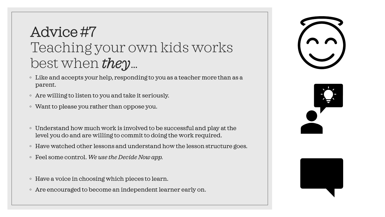## Advice #7 Teaching your own kids works best when *they*…

- Like and accepts your help, responding to you as a teacher more than as a parent.
- Are willing to listen to you and take it seriously.
- Want to please you rather than oppose you.
- Understand how much work is involved to be successful and play at the level you do and are willing to commit to doing the work required.
- Have watched other lessons and understand how the lesson structure goes.
- Feel some control. *We use the Decide Now app.*
- Have a voice in choosing which pieces to learn.
- Are encouraged to become an independent learner early on.

![](_page_18_Picture_9.jpeg)

![](_page_18_Picture_10.jpeg)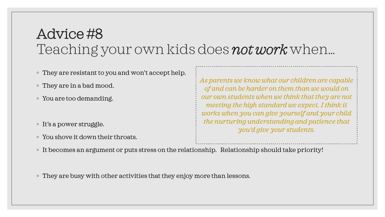## Advice #8 Teaching your own kids does *not work* when…

- They are resistant to you and won't accept help.
- They are in a bad mood.
- You are too demanding.
- It's a power struggle.
- You shove it down their throats.

*As parents we know what our children are capable of and can be harder on them than we would on our own students when we think that they are not meeting the high standard we expect. I think it works when you can give yourself and your child the nurturing understanding and patience that you'd give your students.*

- It becomes an argument or puts stress on the relationship. Relationship should take priority!
- They are busy with other activities that they enjoy more than lessons.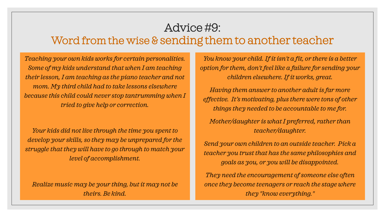#### Advice #9: Word from the wise & sending them to another teacher

*Teaching your own kids works for certain personalities. Some of my kids understand that when I am teaching their lesson, I am teaching as the piano teacher and not mom. My third child had to take lessons elsewhere because this child could never stop tantrumming when I tried to give help or correction.*

*Your kids did not live through the time you spent to develop your skills, so they may be unprepared for the struggle that they will have to go through to match your level of accomplishment.*

*Realize music may be your thing, but it may not be theirs. Be kind.*

*You know your child. If it isn't a fit, or there is a better option for them, don't feel like a failure for sending your children elsewhere. If it works, great.*

*Having them answer to another adult is far more effective. It's motivating, plus there were tons of other things they needed to be accountable to me for.* 

*Mother/daughter is what I preferred, rather than teacher/daughter.*

*Send your own children to an outside teacher. Pick a teacher you trust that has the same philosophies and goals as you, or you will be disappointed.* 

*They need the encouragement of someone else often once they become teenagers or reach the stage where they "know everything."*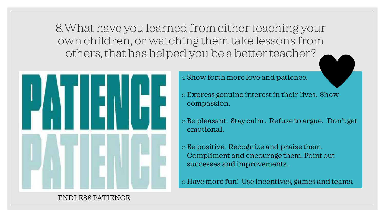8.What have you learned from either teaching your own children, or watching them take lessons from others, that has helped you be a better teacher?

![](_page_21_Picture_1.jpeg)

o Show forth more love and patience.

oExpress genuine interest in their lives. Show compassion.

oBe pleasant. Stay calm . Refuse to argue. Don't get emotional.

oBe positive. Recognize and praise them. Compliment and encourage them. Point out successes and improvements.

oHave more fun! Use incentives, games and teams.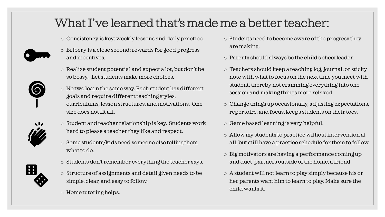#### What I've learned that's made me a better teacher:

o Consistency is key: weekly lessons and daily practice.

![](_page_22_Picture_2.jpeg)

- o Bribery is a close second: rewards for good progress and incentives.
- o Realize student potential and expect a lot, but don't be so bossy. Let students make more choices.
- o No two learn the same way. Each student has different goals and require different teaching styles, curriculums, lesson structures, and motivations. One size does not fit all.

![](_page_22_Picture_6.jpeg)

- o Student and teacher relationship is key. Students work hard to please a teacher they like and respect.
- o Some students/kids need someone else telling them what to do.
- 
- o Students don't remember everything the teacher says.
- o Structure of assignments and detail given needs to be simple, clear, and easy to follow.
- o Home tutoring helps.
- o Students need to become aware of the progress they are making.
- o Parents should always be the child's cheerleader.
- o Teachers should keep a teaching log, journal, or sticky note with what to focus on the next time you meet with student, thereby not cramming everything into one session and making things more relaxed.
- o Change things up occasionally, adjusting expectations, repertoire, and focus, keeps students on their toes.
- o Game based learning is very helpful.
- o Allow my students to practice without intervention at all, but still have a practice schedule for them to follow.
- o Big motivators are having a performance coming up and duet partners outside of the home, a friend.
- o A student will not learn to play simply because his or her parents want him to learn to play. Make sure the child wants it.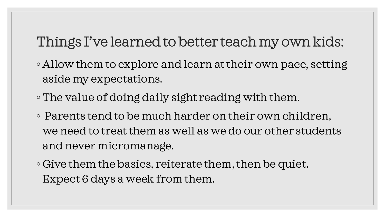## Things I've learned to better teach my own kids:

- Allow them to explore and learn at their own pace, setting aside my expectations.
- ◦The value of doing daily sight reading with them.
- Parents tend to be much harder on their own children, we need to treat them as well as we do our other students and never micromanage.
- Give them the basics, reiterate them, then be quiet. Expect 6 days a week from them.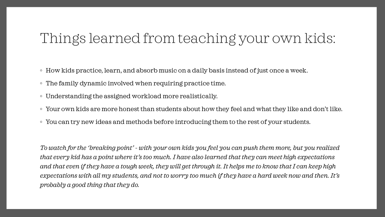## Things learned from teaching your own kids:

- How kids practice, learn, and absorb music on a daily basis instead of just once a week.
- The family dynamic involved when requiring practice time.
- Understanding the assigned workload more realistically.
- Your own kids are more honest than students about how they feel and what they like and don't like.
- You can try new ideas and methods before introducing them to the rest of your students.

*To watch for the 'breaking point' - with your own kids you feel you can push them more, but you realized that every kid has a point where it's too much. I have also learned that they can meet high expectations and that even if they have a tough week, they will get through it. It helps me to know that I can keep high expectations with all my students, and not to worry too much if they have a hard week now and then. It's probably a good thing that they do.*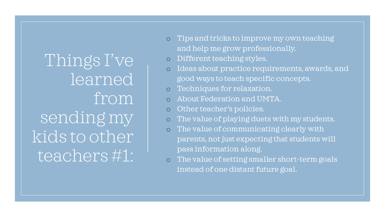Things I've learned from sending my kids to other teachers #1:

- o Tips and tricks to improve my own teaching and help me grow professionally.
- o Different teaching styles.
- o Ideas about practice requirements, awards, and good ways to teach specific concepts.
- o Techniques for relaxation.
- o About Federation and UMTA.
- Other teacher's policies.
- o The value of playing duets with my students.
- o The value of communicating clearly with parents, not just expecting that students will pass information along.
- o The value of setting smaller short-term goals instead of one distant future goal.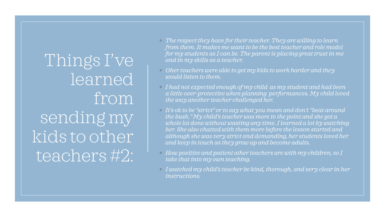Things I've learned from sending my kids to other teachers #2:

- *The respect they have for their teacher. They are willing to learn from them. It makes me want to be the best teacher and role model for my students as I can be. The parent is placing great trust in me and in my skills as a teacher.*
- *Oher teachers were able to get my kids to work harder and they would listen to them.*
- *I had not expected enough of my child as my student and had been a little over-protective when planning performances. My child loved the way another teacher challenged her.*
- *It's ok to be "strict" or to say what you mean and don't "beat around the bush." My child's teacher was more to the point and she got a whole lot done without wasting any time. I learned a lot by watching her. She also chatted with them more before the lesson started and although she was very strict and demanding, her students loved her and keep in touch as they grow up and become adults.*
- *How positive and patient other teachers are with my children, so I take that into my own teaching.*
- *I watched my child's teacher be kind, thorough, and very clear in her instructions.*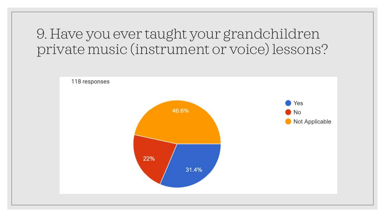## 9. Have you ever taught your grandchildren private music (instrument or voice) lessons?

![](_page_27_Figure_1.jpeg)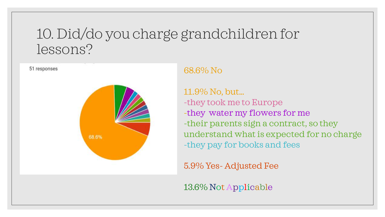## 10. Did/do you charge grandchildren for lessons?

![](_page_28_Figure_1.jpeg)

#### 68.6% No

11.9% No, but… -they took me to Europe -they water my flowers for me -their parents sign a contract, so they understand what is expected for no charge -they pay for books and fees

5.9% Yes- Adjusted Fee

13.6% Not Applicable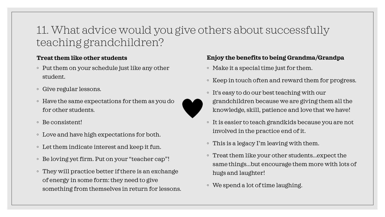#### 11. What advice would you give others about successfully teaching grandchildren?

#### **Treat them like other students**

- Put them on your schedule just like any other student.
- Give regular lessons.
- Have the same expectations for them as you do for other students.
- Be consistent!
- Love and have high expectations for both.
- Let them indicate interest and keep it fun.
- Be loving yet firm. Put on your "teacher cap"!
- They will practice better if there is an exchange of energy in some form: they need to give something from themselves in return for lessons.

#### **Enjoy the benefits to being Grandma/Grandpa**

- Make it a special time just for them.
- Keep in touch often and reward them for progress.
- It's easy to do our best teaching with our grandchildren because we are giving them all the knowledge, skill, patience and love that we have!
- It is easier to teach grandkids because you are not involved in the practice end of it.
- This is a legacy I'm leaving with them.
- Treat them like your other students...expect the same things...but encourage them more with lots of hugs and laughter!
- We spend a lot of time laughing.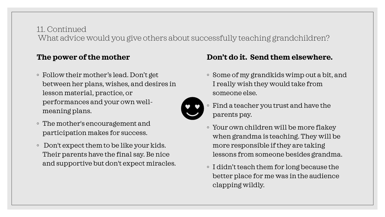#### 11. Continued What advice would you give others about successfully teaching grandchildren?

#### **The power of the mother**

- Follow their mother's lead. Don't get between her plans, wishes, and desires in lesson material, practice, or performances and your own wellmeaning plans.
- The mother's encouragement and participation makes for success.
- Don't expect them to be like your kids. Their parents have the final say. Be nice and supportive but don't expect miracles.

#### **Don't do it. Send them elsewhere.**

◦ Some of my grandkids wimp out a bit, and I really wish they would take from someone else.

![](_page_30_Picture_7.jpeg)

- Find a teacher you trust and have the parents pay.
- Your own children will be more flakey when grandma is teaching. They will be more responsible if they are taking lessons from someone besides grandma.
- I didn't teach them for long because the better place for me was in the audience clapping wildly.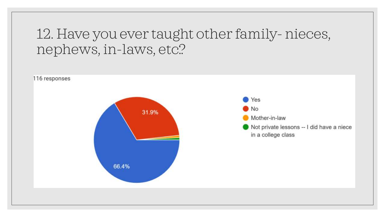## 12. Have you ever taught other family- nieces, nephews, in-laws, etc.?

![](_page_31_Figure_1.jpeg)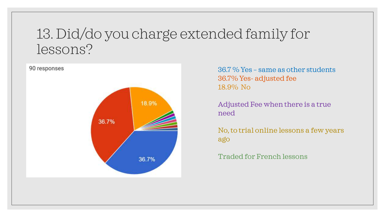## 13. Did/do you charge extended family for lessons?

![](_page_32_Figure_1.jpeg)

36.7 % Yes – same as other students 36.7% Yes- adjusted fee 18.9% No

Adjusted Fee when there is a true need

No, to trial online lessons a few years ago

Traded for French lessons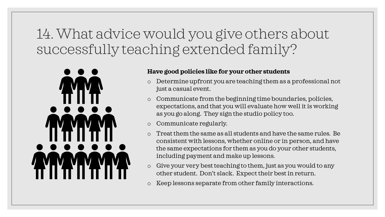## 14. What advice would you give others about successfully teaching extended family?

![](_page_33_Picture_1.jpeg)

#### **Have good policies like for your other students**

- o Determine upfront you are teaching them as a professional not just a casual event.
- o Communicate from the beginning time boundaries, policies, expectations, and that you will evaluate how well it is working as you go along. They sign the studio policy too.
- o Communicate regularly.
- o Treat them the same as all students and have the same rules. Be consistent with lessons, whether online or in person, and have the same expectations for them as you do your other students, including payment and make up lessons.
- o Give your very best teaching to them, just as you would to any other student. Don't slack. Expect their best in return.
- o Keep lessons separate from other family interactions.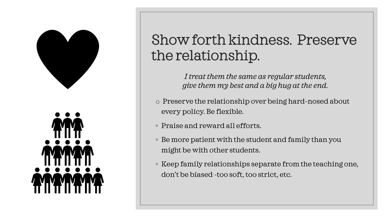![](_page_34_Picture_0.jpeg)

## Show forth kindness. Preserve the relationship.

*I treat them the same as regular students, give them my best and a big hug at the end.*

- o Preserve the relationship over being hard-nosed about every policy. Be flexible.
- Praise and reward all efforts.
- Be more patient with the student and family than you might be with other students.
- Keep family relationships separate from the teaching one, don't be biased -too soft, too strict, etc.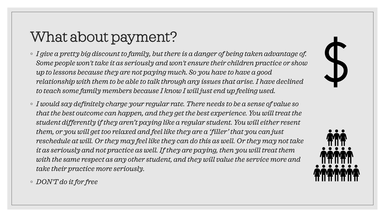# What about payment?

- *I give a pretty big discount to family, but there is a danger of being taken advantage of. Some people won't take it as seriously and won't ensure their children practice or show up to lessons because they are not paying much. So you have to have a good relationship with them to be able to talk through any issues that arise. I have declined to teach some family members because I know I will just end up feeling used.*
- *I would say definitely charge your regular rate. There needs to be a sense of value so that the best outcome can happen, and they get the best experience. You will treat the student differently if they aren't paying like a regular student. You will either resent them, or you will get too relaxed and feel like they are a 'filler' that you can just reschedule at will. Or they may feel like they can do this as well. Or they may not take it as seriously and not practice as well. If they are paying, then you will treat them with the same respect as any other student, and they will value the service more and take their practice more seriously.*

![](_page_35_Picture_3.jpeg)

◦ *DON'T do it for free*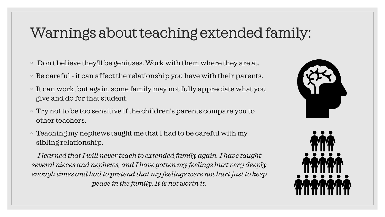## Warnings about teaching extended family:

- Don't believe they'll be geniuses. Work with them where they are at.
- Be careful -it can affect the relationship you have with their parents.
- It can work, but again, some family may not fully appreciate what you give and do for that student.
- Try not to be too sensitive if the children's parents compare you to other teachers.
- Teaching my nephews taught me that I had to be careful with my sibling relationship.

*I learned that I will never teach to extended family again. I have taught several nieces and nephews, and I have gotten my feelings hurt very deeply enough times and had to pretend that my feelings were not hurt just to keep peace in the family. It is not worth it.*

![](_page_36_Picture_7.jpeg)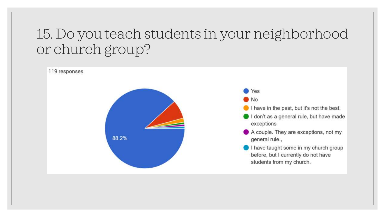## 15. Do you teach students in your neighborhood or church group?

![](_page_37_Figure_1.jpeg)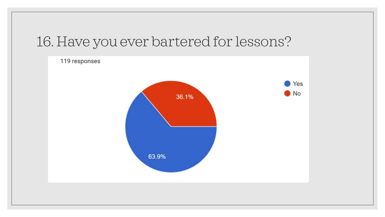## 16. Have you ever bartered for lessons?

![](_page_38_Figure_1.jpeg)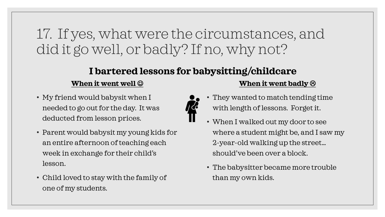## 17. If yes, what were the circumstances, and did it go well, or badly? If no, why not?

#### **I bartered lessons for babysitting/childcare**

#### **When it went well**  $\odot$

- My friend would babysit when I needed to go out for the day. It was deducted from lesson prices.
- Parent would babysit my young kids for an entire afternoon of teaching each week in exchange for their child's lesson.
- Child loved to stay with the family of one of my students.

#### **When it went badly**

- They wanted to match tending time with length of lessons. Forget it.
- When I walked out my door to see where a student might be, and I saw my 2-year-old walking up the street… should've been over a block.
- The babysitter became more trouble than my own kids.

![](_page_39_Picture_10.jpeg)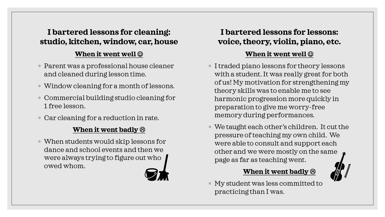#### **I bartered lessons for cleaning: studio, kitchen, window, car, house**

#### **When it went well**  $\odot$

- Parent was a professional house cleaner and cleaned during lesson time.
- Window cleaning for a month of lessons.
- Commercial building studio cleaning for 1 free lesson.
- Car cleaning for a reduction in rate.

#### **When it went badly**

◦ When students would skip lessons for dance and school events and then we were always trying to figure out who owed whom.

#### **I bartered lessons for lessons: voice, theory, violin, piano, etc.**

#### **When it went well**  $\odot$

- I traded piano lessons for theory lessons with a student. It was really great for both of us! My motivation for strengthening my theory skills was to enable me to see harmonic progression more quickly in preparation to give me worry-free memory during performances.
- We taught each other's children. It cut the pressure of teaching my own child. We were able to consult and support each other and we were mostly on the same page as far as teaching went.

#### **When it went badly**

◦ My student was less committed to practicing than I was.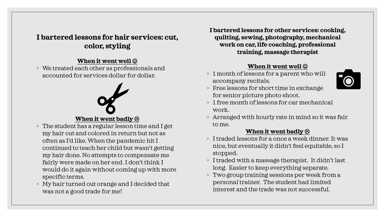#### **I bartered lessons for hair services: cut, color, styling**

#### **When it went well**  $\odot$

◦ We treated each other as professionals and accounted for services dollar for dollar.

# **When it went badly**

- The student has a regular lesson time and I get my hair cut and colored in return but not as often as I'd like. When the pandemic hit I continued to teach her child but wasn't getting my hair done. No attempts to compensate me fairly were made on her end. I don't think I would do it again without coming up with more specific terms.
- My hair turned out orange and I decided that was not a good trade for me!

**I bartered lessons for other services: cooking, quilting, sewing, photography, mechanical work on car, life coaching, professional training, massage therapist**

#### **When it went well**  $\odot$

◦ 1 month of lessons for a parent who will accompany recitals.

![](_page_41_Picture_9.jpeg)

- Free lessons for short time in exchange for senior picture photo shoot.
- 1 free month of lessons for car mechanical work.
- Arranged with hourly rate in mind so it was fair to me.

#### **When it went badly**

- I traded lessons for a once a week dinner. It was nice, but eventually it didn't feel equitable, so I stopped.
- I traded with a massage therapist. It didn't last long. Easier to keep everything separate.
- Two group training sessions per week from a personal trainer. The student had limited interest and the trade was not successful.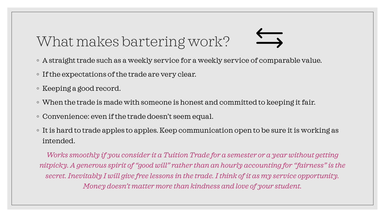# What makes bartering work?

- A straight trade such as a weekly service for a weekly service of comparable value.
- If the expectations of the trade are very clear.
- Keeping a good record.
- When the trade is made with someone is honest and committed to keeping it fair.
- Convenience: even if the trade doesn't seem equal.
- It is hard to trade apples to apples. Keep communication open to be sure it is working as intended.

*Works smoothly if you consider it a Tuition Trade for a semester or a year without getting nitpicky. A generous spirit of "good will" rather than an hourly accounting for "fairness" is the secret. Inevitably I will give free lessons in the trade. I think of it as my service opportunity. Money doesn't matter more than kindness and love of your student.*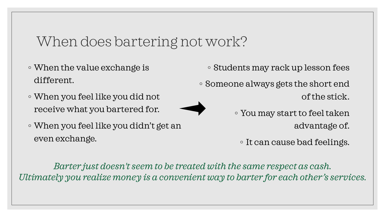### When does bartering not work?

- When the value exchange is different.
- When you feel like you did not receive what you bartered for.
- 
- When you feel like you didn't get an even exchange.
- Students may rack up lesson fees
- Someone always gets the short end of the stick.
	- You may start to feel taken advantage of.

◦ It can cause bad feelings.

*Barter just doesn't seem to be treated with the same respect as cash. Ultimately you realize money is a convenient way to barter for each other's services.*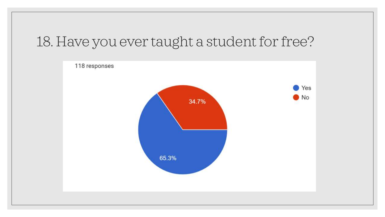## 18. Have you ever taught a student for free?

![](_page_44_Figure_1.jpeg)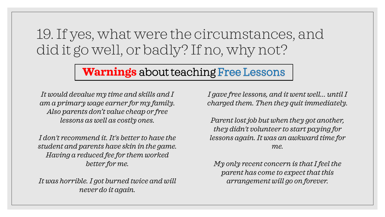## 19. If yes, what were the circumstances, and did it go well, or badly? If no, why not?

#### **Warnings** about teaching

*It would devalue my time and skills and I am a primary wage earner for my family. Also parents don't value cheap or free lessons as well as costly ones.*

*I don't recommend it. It's better to have the student and parents have skin in the game. Having a reduced fee for them worked better for me.*

*It was horrible. I got burned twice and will never do it again.*

*I gave free lessons, and it went well... until I charged them. Then they quit immediately.*

*Parent lost job but when they got another, they didn't volunteer to start paying for lessons again. It was an awkward time for me.*

*My only recent concern is that I feel the parent has come to expect that this arrangement will go on forever.*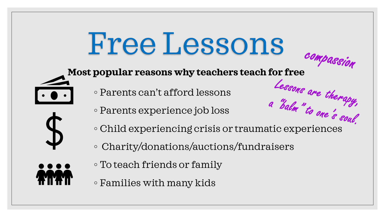# Free Lessons

# **Most popular reasons why teachers teach for free**

- Parents can't afford lessons
- Parents experience job loss
- Parents can't afford lessons<br>◦ Parents experience job loss<br>◦ Child experiencing crisis or traumatic experiences
- Charity/donations/auctions/fundraisers
- To teach friends or family
- Families with many kids

![](_page_46_Picture_8.jpeg)

![](_page_46_Picture_9.jpeg)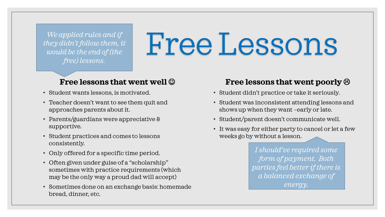*We applied rules and if they didn't follow them, it would be the end of (the free) lessons.* 

# Free Lessons

#### **Free lessons that went well**  $\odot$

- Student wants lessons, is motivated.
- Teacher doesn't want to see them quit and approaches parents about it.
- Parents/guardians were appreciative & supportive.
- Student practices and comes to lessons consistently.
- Only offered for a specific time period.
- Often given under guise of a "scholarship" sometimes with practice requirements (which may be the only way a proud dad will accept)
- Sometimes done on an exchange basis: homemade bread, dinner, etc.

#### **Free lessons that went poorly**

- Student didn't practice or take it seriously.
- Student was inconsistent attending lessons and shows up when they want –early or late.
- Student/parent doesn't communicate well.
- It was easy for either party to cancel or let a few weeks go by without a lesson.

*I should've required some form of payment. Both parties feel better if there is a balanced exchange of energy.*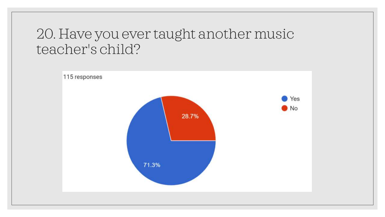## 20. Have you ever taught another music teacher's child?

![](_page_48_Figure_1.jpeg)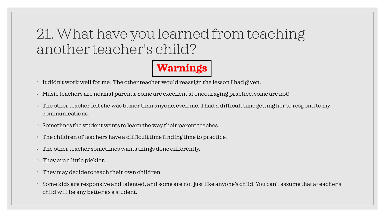## 21. What have you learned from teaching another teacher's child?

## **Warnings**

- It didn't work well for me. The other teacher would reassign the lesson I had given.
- Music teachers are normal parents. Some are excellent at encouraging practice, some are not!
- The other teacher felt she was busier than anyone, even me. I had a difficult time getting her to respond to my communications.
- Sometimes the student wants to learn the way their parent teaches.
- The children of teachers have a difficult time finding time to practice.
- The other teacher sometimes wants things done differently.
- They are a little pickier.
- They may decide to teach their own children.
- Some kids are responsive and talented, and some are not just like anyone's child. You can't assume that a teacher's child will be any better as a student.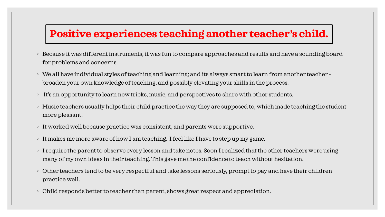#### **Positive experiences teaching another teacher's child.**

- Because it was different instruments, it was fun to compare approaches and results and have a sounding board for problems and concerns.
- We all have individual styles of teaching and learning; and its always smart to learn from another teacher broaden your own knowledge of teaching, and possibly elevating your skills in the process.
- It's an opportunity to learn new tricks, music, and perspectives to share with other students.
- Music teachers usually helps their child practice the way they are supposed to, which made teaching the student more pleasant.
- It worked well because practice was consistent, and parents were supportive.
- It makes me more aware of how I am teaching. I feel like I have to step up my game.
- I require the parent to observe every lesson and take notes. Soon I realized that the other teachers were using many of my own ideas in their teaching. This gave me the confidence to teach without hesitation.
- Other teachers tend to be very respectful and take lessons seriously, prompt to pay and have their children practice well.
- Child responds better to teacher than parent, shows great respect and appreciation.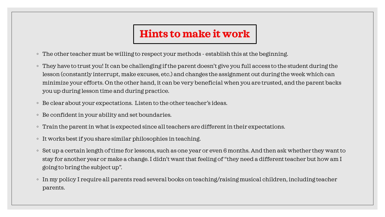### **Hints to make it work**

- The other teacher must be willing to respect your methods establish this at the beginning.
- They have to trust you! It can be challenging if the parent doesn't give you full access to the student during the lesson (constantly interrupt, make excuses, etc.) and changes the assignment out during the week which can minimize your efforts. On the other hand, it can be very beneficial when you are trusted, and the parent backs you up during lesson time and during practice.
- Be clear about your expectations. Listen to the other teacher's ideas.
- Be confident in your ability and set boundaries.
- Train the parent in what is expected since all teachers are different in their expectations.
- It works best if you share similar philosophies in teaching.
- Set up a certain length of time for lessons, such as one year or even 6 months. And then ask whether they want to stay for another year or make a change. I didn't want that feeling of "they need a different teacher but how am I going to bring the subject up".
- In my policy I require all parents read several books on teaching/raising musical children, including teacher parents.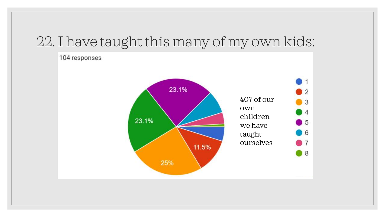## 22. I have taught this many of my own kids:

![](_page_52_Figure_1.jpeg)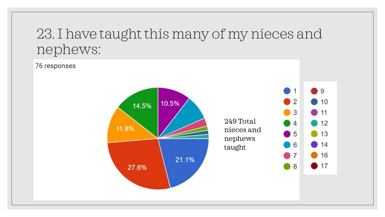## 23. I have taught this many of my nieces and nephews:

76 responses

![](_page_53_Figure_2.jpeg)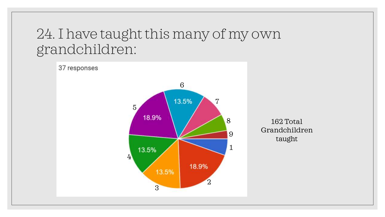## 24. I have taught this many of my own grandchildren:

![](_page_54_Figure_1.jpeg)